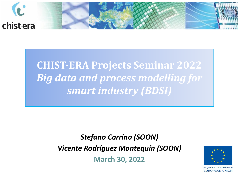

**CHIST-ERA Projects Seminar 2022** *Big data and process modelling for smart industry (BDSI)*

> *Stefano Carrino (SOON) Vicente Rodríguez Montequín (SOON)* **March 30, 2022**

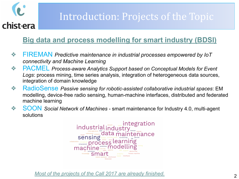

## Introduction: Projects of the Topic

#### **Big data and process modelling for smart industry (BDSI)**

- ❖ FIREMAN *Predictive maintenance in industrial processes empowered by IoT connectivity and Machine Learning*
- ❖ PACMEL *Process-aware Analytics Support based on Conceptual Models for Event Logs*: process mining, time series analysis, integration of heterogeneous data sources, integration of domain knowledge
- ❖ RadioSense *Passive sensing for robotic-assisted collaborative industrial spaces*: EM modelling, device-free radio sensing, human-machine interfaces, distributed and federated machine learning
- ❖ SOON *Social Network of Machines* smart maintenance for Industry 4.0, multi-agent solutions



*Most of the projects of the Call 2017 are already finished.*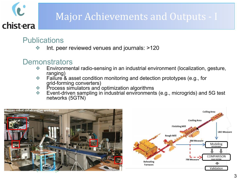## Major Achievements and Outputs - I

#### **Publications**

chist-era

Int. peer reviewed venues and journals: >120

#### **Demonstrators**

- ❖ Environmental radio-sensing in an industrial environment (localization, gesture, ranging)
- ❖ Failure & asset condition monitoring and detection prototypes (e.g., for grid-forming converters)
- ❖ Process simulators and optimization algorithms
- ❖ Event-driven sampling in industrial environments (e.g., microgrids) and 5G test networks (5GTN)



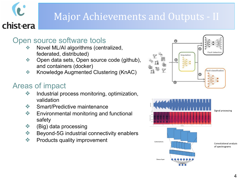## Major Achievements and Outputs - II

#### Open source software tools

- ❖ Novel ML/AI algorithms (centralized, federated, distributed)
- ❖ Open data sets, Open source code (github), and containers (docker)
- ❖ Knowledge Augmented Clustering (KnAC)

#### Areas of impact

chist-era

- ❖ Industrial process monitoring, optimization, validation
- ❖ Smart/Predictive maintenance
- ❖ Environmental monitoring and functional safety
- ❖ (Big) data processing
- ❖ Beyond-5G industrial connectivity enablers
- ❖ Products quality improvement





Signal processing

Convolutional analysis of spectrograms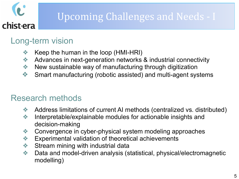## Upcoming Challenges and Needs - I

### Long-term vision

- ❖ Keep the human in the loop (HMI-HRI)
- ❖ Advances in next-generation networks & industrial connectivity
- ❖ New sustainable way of manufacturing through digitization
- ❖ Smart manufacturing (robotic assisted) and multi-agent systems

### Research methods

- ❖ Address limitations of current AI methods (centralized vs. distributed)
- ❖ Interpretable/explainable modules for actionable insights and decision-making
- ❖ Convergence in cyber-physical system modeling approaches
- ❖ Experimental validation of theoretical achievements
- **❖** Stream mining with industrial data
- ❖ Data and model-driven analysis (statistical, physical/electromagnetic modelling)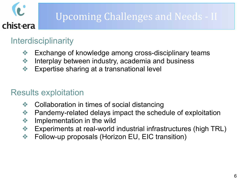## Upcoming Challenges and Needs - II

### **Interdisciplinarity**

chist-era

- ❖ Exchange of knowledge among cross-disciplinary teams
- ❖ Interplay between industry, academia and business
- ❖ Expertise sharing at a transnational level

### Results exploitation

- ❖ Collaboration in times of social distancing
- ❖ Pandemy-related delays impact the schedule of exploitation
- ❖ Implementation in the wild
- ❖ Experiments at real-world industrial infrastructures (high TRL)
- ❖ Follow-up proposals (Horizon EU, EIC transition)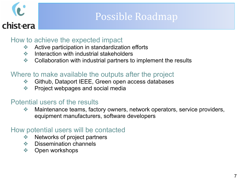Possible Roadmap

#### How to achieve the expected impact

- ❖ Active participation in standardization efforts
- ❖ Interaction with industrial stakeholders
- ❖ Collaboration with industrial partners to implement the results

#### Where to make available the outputs after the project

- ❖ Github, Dataport IEEE, Green open access databases
- ❖ Project webpages and social media

#### Potential users of the results

❖ Maintenance teams, factory owners, network operators, service providers, equipment manufacturers, software developers

#### How potential users will be contacted

- ❖ Networks of project partners
- ❖ Dissemination channels
- **❖** Open workshops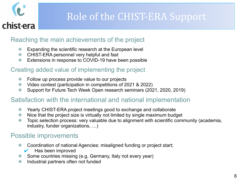

## Role of the CHIST-ERA Support

#### Reaching the main achievements of the project

- ❖ Expanding the scientific research at the European level
- ❖ CHIST-ERA personnel very helpful and fast
- ❖ Extensions in response to COVID-19 have been possible

#### Creating added value of implementing the project

- ❖ Follow up process provide value to our projects
- ❖ Video contest (participation in competitions of 2021 & 2022)
- ❖ Support for Future Tech Week Open research seminars (2021, 2020, 2019)

#### Satisfaction with the international and national implementation

- ❖ Yearly CHIST-ERA project meetings good to exchange and collaborate
- ❖ Nice that the project size is virtually not limited by single maximum budget
- ❖ Topic selection process: very valuable due to alignment with scientific community (academia, industry, funder organizations, …)

#### Possible improvements

- ❖ Coordination of national Agencies: misaligned funding or project start;
	- Has been improved
- ❖ Some countries missing (e.g. Germany, Italy not every year)
- ❖ Industrial partners often not funded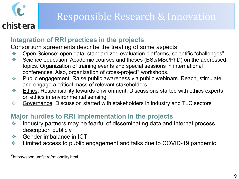

#### **Integration of RRI practices in the projects**

Consortium agreements describe the treating of some aspects

- ❖ Open Science: open data, standardized evaluation platforms, scientific "challenges"
- **EXA:** Science education: Academic courses and theses (BSc/MSc/PhD) on the addressed topics. Organization of training events and special sessions in international conferences. Also, organization of cross-project\* workshops.
- **Eublic engagement:** Raise public awareness via public webinars. Reach, stimulate and engage a critical mass of relevant stakeholders.
- ❖ Ethics: Responsibility towards environment, Discussions started with ethics experts on ethics in environmental sensing
- ❖ Governance: Discussion started with stakeholders in industry and TLC sectors

#### **Major hurdles to RRI implementation in the projects**

- ❖ Industry partners may be fearful of disseminating data and internal process description publicly
- ❖ Gender imbalance in ICT
- ❖ Limited access to public engagement and talks due to COVID-19 pandemic

<sup>\*</sup>https://soon.umfst.ro/rationality.html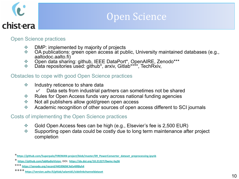## Open Science

#### Open Science practices

- **♦ DMP: implemented by majority of projects**<br>◆ OA publications: green open access at pul
- ❖ OA publications: green open access at public, University maintained databases (e.g., aaltodoc.aalto.fi)
- ◆ Open data sharing: github, IEEE DataPort\*, OpenAIRE, Zenodo\*\*\*<br>◆ Data repositories used: github\* arxiv Gitlab\*\*\*\* TechRxiv
- Data repositories used: github\*, arxiv, Gitlab\*\*\*\*, TechRxiv,

#### Obstacles to cope with good Open Science practices

- ❖ Industry reticence to share data
	- $\vee$  Data sets from industrial partners can sometimes not be shared
- ❖ Rules for Open Access funds vary across national funding agencies
- ❖ Not all publishers allow gold/green open access
- ❖ Academic recognition of other sources of open access different to SCI journals

#### Costs of implementing the Open Science practices

- ❖ Gold Open Access fees can be high (e.g., Elsevier's fee is 2,500 EUR)
- ❖ Supporting open data could be costly due to long term maintenance after project completion

**<sup>\*</sup>[https://github.com/5uperpalo/FIREMAN-project/blob/master/09\\_PowerConverter\\_dataset\\_preprocessing.ipynb](https://github.com/5uperpalo/FIREMAN-project/blob/master/09_PowerConverter_dataset_preprocessing.ipynb)**

**<sup>\*</sup> [https://github.com/labRadioVision,](https://github.com/labRadioVision) DOI: <https://dx.doi.org/10.21227/0wmc-hq36>**

**<sup>\*\*\*</sup> <https://zenodo.org/record/4459969#.YeEv4IRByh4>**

**<sup>\*\*\*\*</sup> <https://version.aalto.fi/gitlab/salamid1/sidelinkchanneldataset>**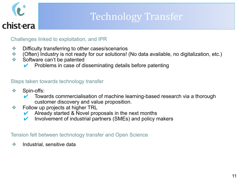## Technology Transfer

#### Challenges linked to exploitation, and IPR

- ❖ Difficulty transferring to other cases/scenarios
- ❖ (Often) Industry is not ready for our solutions! (No data available, no digitalization, etc.)
- ❖ Software can't be patented
	- Problems in case of disseminating details before patenting

#### Steps taken towards technology transfer

- ❖ Spin-offs:
	- Towards commercialisation of machine learning-based research via a thorough customer discovery and value proposition.
- ❖ Follow up projects at higher TRL
	- $\vee$  Already started & Novel proposals in the next months
	- $\vee$  Involvement of industrial partners (SMEs) and policy makers

#### Tension felt between technology transfer and Open Science

❖ Industrial, sensitive data